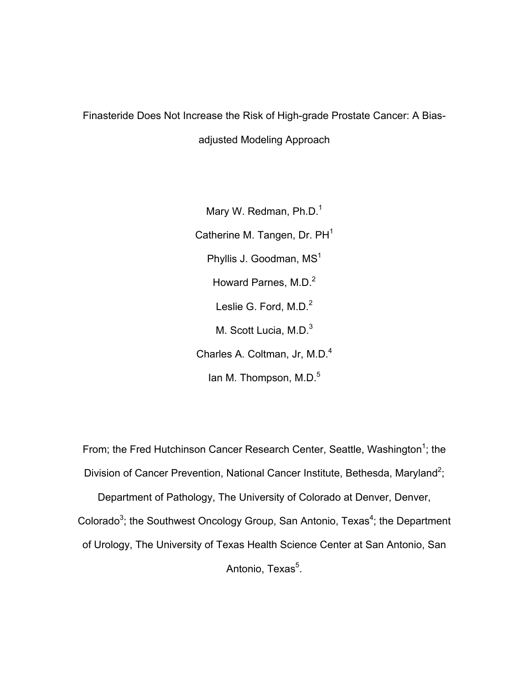# Finasteride Does Not Increase the Risk of High-grade Prostate Cancer: A Bias-

adjusted Modeling Approach

Mary W. Redman, Ph.D.<sup>1</sup> Catherine M. Tangen, Dr. PH<sup>1</sup> Phyllis J. Goodman, MS<sup>1</sup> Howard Parnes, M.D.<sup>2</sup> Leslie G. Ford, M.D.<sup>2</sup> M. Scott Lucia, M.D.<sup>3</sup> Charles A. Coltman, Jr, M.D.4 Ian M. Thompson, M.D.<sup>5</sup>

From; the Fred Hutchinson Cancer Research Center, Seattle, Washington<sup>1</sup>; the Division of Cancer Prevention, National Cancer Institute, Bethesda, Maryland<sup>2</sup>;

Department of Pathology, The University of Colorado at Denver, Denver, Colorado<sup>3</sup>; the Southwest Oncology Group, San Antonio, Texas<sup>4</sup>; the Department of Urology, The University of Texas Health Science Center at San Antonio, San Antonio, Texas<sup>5</sup>.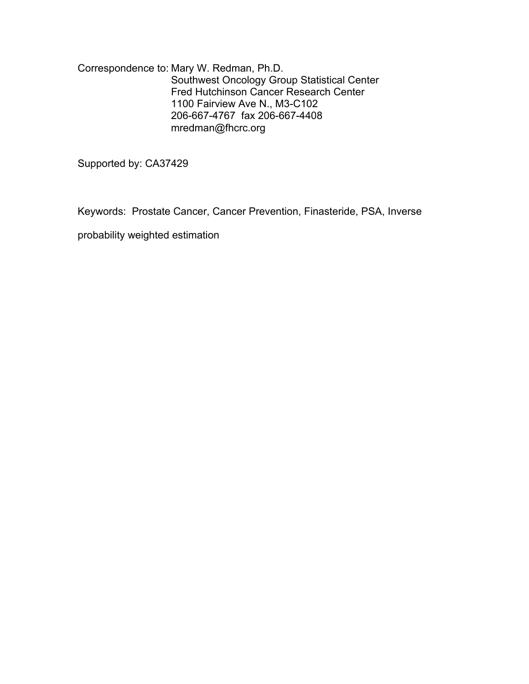Correspondence to: Mary W. Redman, Ph.D. Southwest Oncology Group Statistical Center Fred Hutchinson Cancer Research Center 1100 Fairview Ave N., M3-C102 206-667-4767 fax 206-667-4408 mredman@fhcrc.org

Supported by: CA37429

Keywords: Prostate Cancer, Cancer Prevention, Finasteride, PSA, Inverse

probability weighted estimation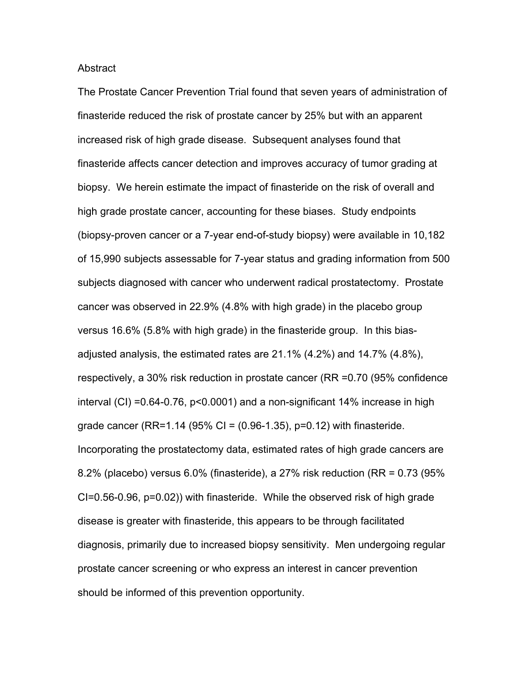#### Abstract

The Prostate Cancer Prevention Trial found that seven years of administration of finasteride reduced the risk of prostate cancer by 25% but with an apparent increased risk of high grade disease. Subsequent analyses found that finasteride affects cancer detection and improves accuracy of tumor grading at biopsy. We herein estimate the impact of finasteride on the risk of overall and high grade prostate cancer, accounting for these biases. Study endpoints (biopsy-proven cancer or a 7-year end-of-study biopsy) were available in 10,182 of 15,990 subjects assessable for 7-year status and grading information from 500 subjects diagnosed with cancer who underwent radical prostatectomy. Prostate cancer was observed in 22.9% (4.8% with high grade) in the placebo group versus 16.6% (5.8% with high grade) in the finasteride group. In this biasadjusted analysis, the estimated rates are 21.1% (4.2%) and 14.7% (4.8%), respectively, a 30% risk reduction in prostate cancer (RR =0.70 (95% confidence interval (CI) =0.64-0.76, p<0.0001) and a non-significant 14% increase in high grade cancer (RR=1.14 (95% CI =  $(0.96-1.35)$ , p=0.12) with finasteride. Incorporating the prostatectomy data, estimated rates of high grade cancers are 8.2% (placebo) versus 6.0% (finasteride), a 27% risk reduction (RR = 0.73 (95% CI=0.56-0.96, p=0.02)) with finasteride. While the observed risk of high grade disease is greater with finasteride, this appears to be through facilitated diagnosis, primarily due to increased biopsy sensitivity. Men undergoing regular prostate cancer screening or who express an interest in cancer prevention should be informed of this prevention opportunity.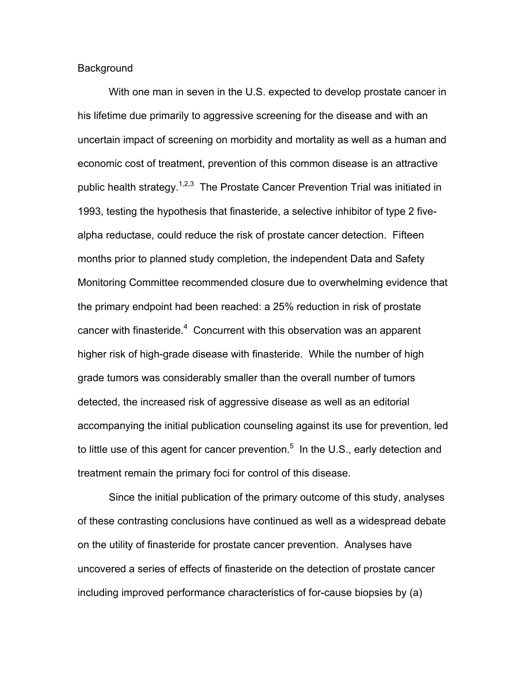#### **Background**

 With one man in seven in the U.S. expected to develop prostate cancer in his lifetime due primarily to aggressive screening for the disease and with an uncertain impact of screening on morbidity and mortality as well as a human and economic cost of treatment, prevention of this common disease is an attractive public health strategy.<sup>1,2,3</sup> The Prostate Cancer Prevention Trial was initiated in 1993, testing the hypothesis that finasteride, a selective inhibitor of type 2 fivealpha reductase, could reduce the risk of prostate cancer detection. Fifteen months prior to planned study completion, the independent Data and Safety Monitoring Committee recommended closure due to overwhelming evidence that the primary endpoint had been reached: a 25% reduction in risk of prostate cancer with finasteride. $4$  Concurrent with this observation was an apparent higher risk of high-grade disease with finasteride. While the number of high grade tumors was considerably smaller than the overall number of tumors detected, the increased risk of aggressive disease as well as an editorial accompanying the initial publication counseling against its use for prevention, led to little use of this agent for cancer prevention.<sup>5</sup> In the U.S., early detection and treatment remain the primary foci for control of this disease.

 Since the initial publication of the primary outcome of this study, analyses of these contrasting conclusions have continued as well as a widespread debate on the utility of finasteride for prostate cancer prevention. Analyses have uncovered a series of effects of finasteride on the detection of prostate cancer including improved performance characteristics of for-cause biopsies by (a)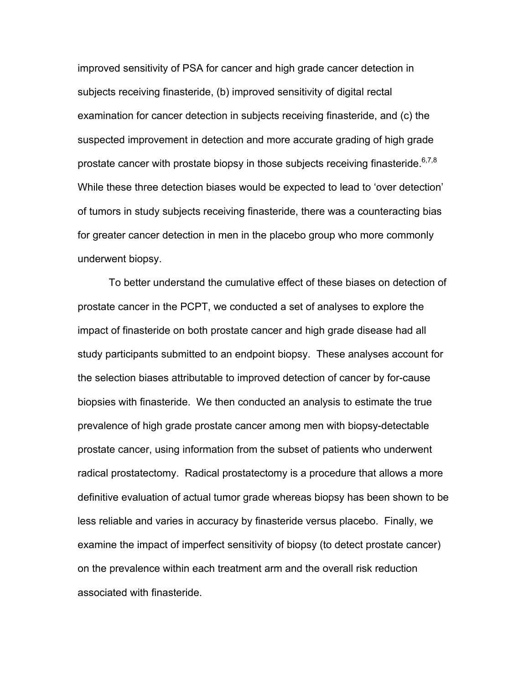improved sensitivity of PSA for cancer and high grade cancer detection in subjects receiving finasteride, (b) improved sensitivity of digital rectal examination for cancer detection in subjects receiving finasteride, and (c) the suspected improvement in detection and more accurate grading of high grade prostate cancer with prostate biopsy in those subjects receiving finasteride.<sup>6,7,8</sup> While these three detection biases would be expected to lead to 'over detection' of tumors in study subjects receiving finasteride, there was a counteracting bias for greater cancer detection in men in the placebo group who more commonly underwent biopsy.

 To better understand the cumulative effect of these biases on detection of prostate cancer in the PCPT, we conducted a set of analyses to explore the impact of finasteride on both prostate cancer and high grade disease had all study participants submitted to an endpoint biopsy. These analyses account for the selection biases attributable to improved detection of cancer by for-cause biopsies with finasteride. We then conducted an analysis to estimate the true prevalence of high grade prostate cancer among men with biopsy-detectable prostate cancer, using information from the subset of patients who underwent radical prostatectomy. Radical prostatectomy is a procedure that allows a more definitive evaluation of actual tumor grade whereas biopsy has been shown to be less reliable and varies in accuracy by finasteride versus placebo. Finally, we examine the impact of imperfect sensitivity of biopsy (to detect prostate cancer) on the prevalence within each treatment arm and the overall risk reduction associated with finasteride.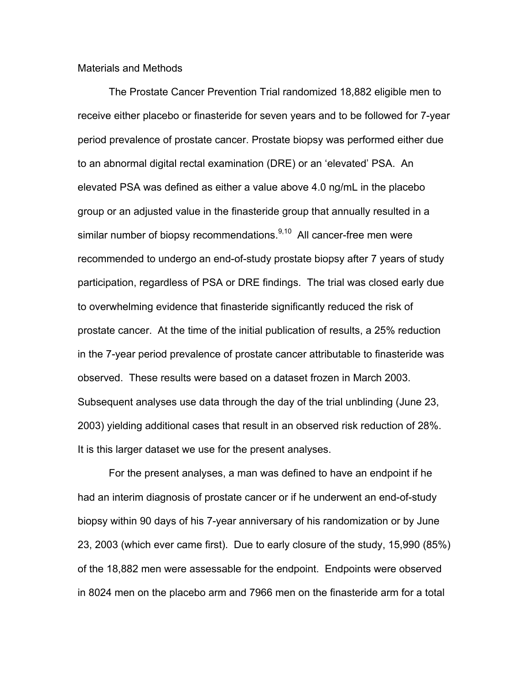### Materials and Methods

The Prostate Cancer Prevention Trial randomized 18,882 eligible men to receive either placebo or finasteride for seven years and to be followed for 7-year period prevalence of prostate cancer. Prostate biopsy was performed either due to an abnormal digital rectal examination (DRE) or an 'elevated' PSA. An elevated PSA was defined as either a value above 4.0 ng/mL in the placebo group or an adjusted value in the finasteride group that annually resulted in a similar number of biopsy recommendations. $9,10$  All cancer-free men were recommended to undergo an end-of-study prostate biopsy after 7 years of study participation, regardless of PSA or DRE findings. The trial was closed early due to overwhelming evidence that finasteride significantly reduced the risk of prostate cancer. At the time of the initial publication of results, a 25% reduction in the 7-year period prevalence of prostate cancer attributable to finasteride was observed. These results were based on a dataset frozen in March 2003. Subsequent analyses use data through the day of the trial unblinding (June 23, 2003) yielding additional cases that result in an observed risk reduction of 28%. It is this larger dataset we use for the present analyses.

For the present analyses, a man was defined to have an endpoint if he had an interim diagnosis of prostate cancer or if he underwent an end-of-study biopsy within 90 days of his 7-year anniversary of his randomization or by June 23, 2003 (which ever came first). Due to early closure of the study, 15,990 (85%) of the 18,882 men were assessable for the endpoint. Endpoints were observed in 8024 men on the placebo arm and 7966 men on the finasteride arm for a total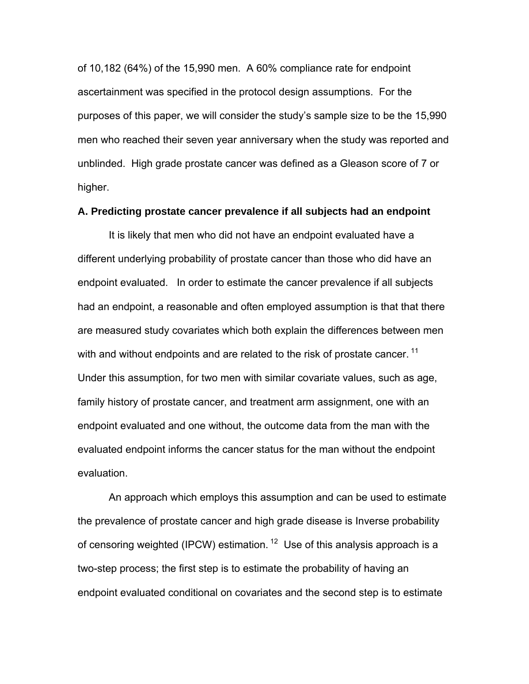of 10,182 (64%) of the 15,990 men. A 60% compliance rate for endpoint ascertainment was specified in the protocol design assumptions. For the purposes of this paper, we will consider the study's sample size to be the 15,990 men who reached their seven year anniversary when the study was reported and unblinded. High grade prostate cancer was defined as a Gleason score of 7 or higher.

## **A. Predicting prostate cancer prevalence if all subjects had an endpoint**

It is likely that men who did not have an endpoint evaluated have a different underlying probability of prostate cancer than those who did have an endpoint evaluated. In order to estimate the cancer prevalence if all subjects had an endpoint, a reasonable and often employed assumption is that that there are measured study covariates which both explain the differences between men with and without endpoints and are related to the risk of prostate cancer.<sup>11</sup> Under this assumption, for two men with similar covariate values, such as age, family history of prostate cancer, and treatment arm assignment, one with an endpoint evaluated and one without, the outcome data from the man with the evaluated endpoint informs the cancer status for the man without the endpoint evaluation.

An approach which employs this assumption and can be used to estimate the prevalence of prostate cancer and high grade disease is Inverse probability of censoring weighted (IPCW) estimation.  $12$  Use of this analysis approach is a two-step process; the first step is to estimate the probability of having an endpoint evaluated conditional on covariates and the second step is to estimate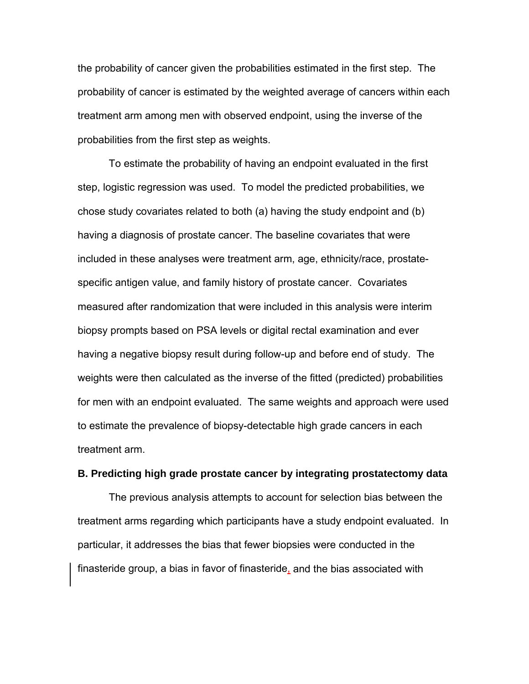the probability of cancer given the probabilities estimated in the first step. The probability of cancer is estimated by the weighted average of cancers within each treatment arm among men with observed endpoint, using the inverse of the probabilities from the first step as weights.

To estimate the probability of having an endpoint evaluated in the first step, logistic regression was used. To model the predicted probabilities, we chose study covariates related to both (a) having the study endpoint and (b) having a diagnosis of prostate cancer. The baseline covariates that were included in these analyses were treatment arm, age, ethnicity/race, prostatespecific antigen value, and family history of prostate cancer. Covariates measured after randomization that were included in this analysis were interim biopsy prompts based on PSA levels or digital rectal examination and ever having a negative biopsy result during follow-up and before end of study. The weights were then calculated as the inverse of the fitted (predicted) probabilities for men with an endpoint evaluated. The same weights and approach were used to estimate the prevalence of biopsy-detectable high grade cancers in each treatment arm.

#### **B. Predicting high grade prostate cancer by integrating prostatectomy data**

The previous analysis attempts to account for selection bias between the treatment arms regarding which participants have a study endpoint evaluated. In particular, it addresses the bias that fewer biopsies were conducted in the finasteride group, a bias in favor of finasteride, and the bias associated with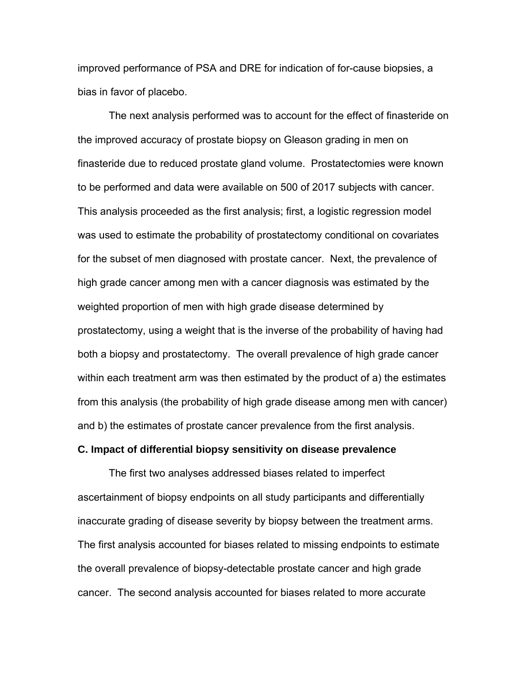improved performance of PSA and DRE for indication of for-cause biopsies, a bias in favor of placebo.

The next analysis performed was to account for the effect of finasteride on the improved accuracy of prostate biopsy on Gleason grading in men on finasteride due to reduced prostate gland volume. Prostatectomies were known to be performed and data were available on 500 of 2017 subjects with cancer. This analysis proceeded as the first analysis; first, a logistic regression model was used to estimate the probability of prostatectomy conditional on covariates for the subset of men diagnosed with prostate cancer. Next, the prevalence of high grade cancer among men with a cancer diagnosis was estimated by the weighted proportion of men with high grade disease determined by prostatectomy, using a weight that is the inverse of the probability of having had both a biopsy and prostatectomy. The overall prevalence of high grade cancer within each treatment arm was then estimated by the product of a) the estimates from this analysis (the probability of high grade disease among men with cancer) and b) the estimates of prostate cancer prevalence from the first analysis.

#### **C. Impact of differential biopsy sensitivity on disease prevalence**

The first two analyses addressed biases related to imperfect ascertainment of biopsy endpoints on all study participants and differentially inaccurate grading of disease severity by biopsy between the treatment arms. The first analysis accounted for biases related to missing endpoints to estimate the overall prevalence of biopsy-detectable prostate cancer and high grade cancer. The second analysis accounted for biases related to more accurate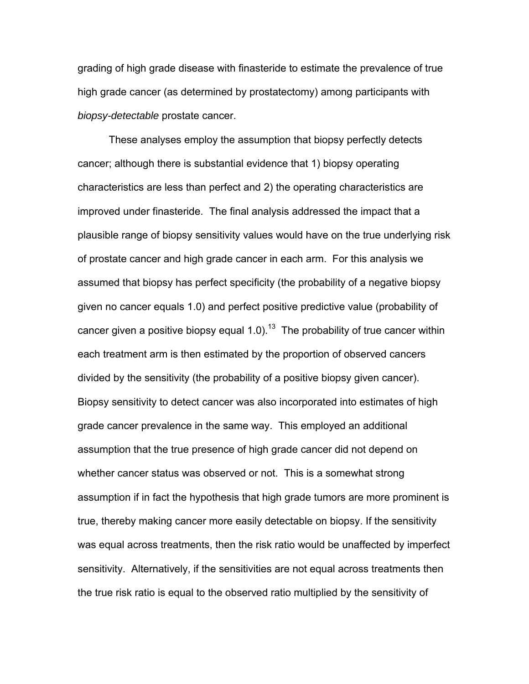grading of high grade disease with finasteride to estimate the prevalence of true high grade cancer (as determined by prostatectomy) among participants with *biopsy-detectable* prostate cancer.

These analyses employ the assumption that biopsy perfectly detects cancer; although there is substantial evidence that 1) biopsy operating characteristics are less than perfect and 2) the operating characteristics are improved under finasteride. The final analysis addressed the impact that a plausible range of biopsy sensitivity values would have on the true underlying risk of prostate cancer and high grade cancer in each arm. For this analysis we assumed that biopsy has perfect specificity (the probability of a negative biopsy given no cancer equals 1.0) and perfect positive predictive value (probability of cancer given a positive biopsy equal 1.0).<sup>13</sup> The probability of true cancer within each treatment arm is then estimated by the proportion of observed cancers divided by the sensitivity (the probability of a positive biopsy given cancer). Biopsy sensitivity to detect cancer was also incorporated into estimates of high grade cancer prevalence in the same way. This employed an additional assumption that the true presence of high grade cancer did not depend on whether cancer status was observed or not. This is a somewhat strong assumption if in fact the hypothesis that high grade tumors are more prominent is true, thereby making cancer more easily detectable on biopsy. If the sensitivity was equal across treatments, then the risk ratio would be unaffected by imperfect sensitivity. Alternatively, if the sensitivities are not equal across treatments then the true risk ratio is equal to the observed ratio multiplied by the sensitivity of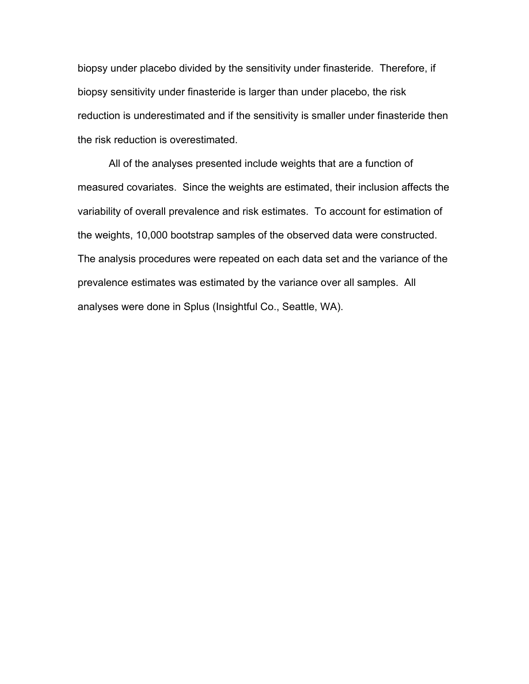biopsy under placebo divided by the sensitivity under finasteride. Therefore, if biopsy sensitivity under finasteride is larger than under placebo, the risk reduction is underestimated and if the sensitivity is smaller under finasteride then the risk reduction is overestimated.

All of the analyses presented include weights that are a function of measured covariates. Since the weights are estimated, their inclusion affects the variability of overall prevalence and risk estimates. To account for estimation of the weights, 10,000 bootstrap samples of the observed data were constructed. The analysis procedures were repeated on each data set and the variance of the prevalence estimates was estimated by the variance over all samples. All analyses were done in Splus (Insightful Co., Seattle, WA).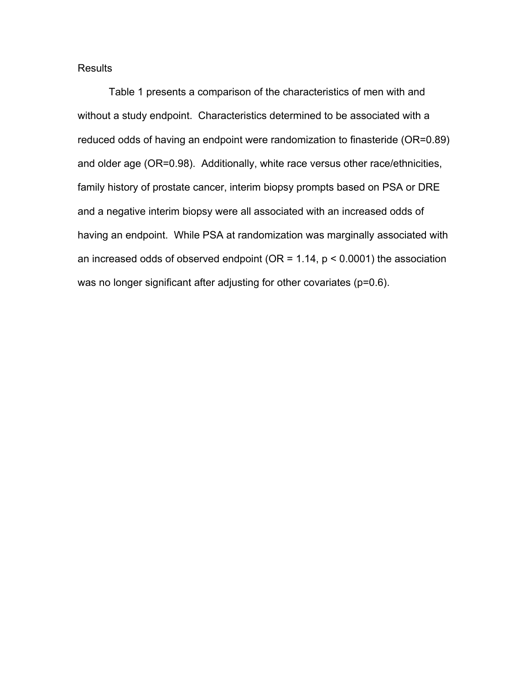## **Results**

Table 1 presents a comparison of the characteristics of men with and without a study endpoint. Characteristics determined to be associated with a reduced odds of having an endpoint were randomization to finasteride (OR=0.89) and older age (OR=0.98). Additionally, white race versus other race/ethnicities, family history of prostate cancer, interim biopsy prompts based on PSA or DRE and a negative interim biopsy were all associated with an increased odds of having an endpoint. While PSA at randomization was marginally associated with an increased odds of observed endpoint ( $OR = 1.14$ ,  $p < 0.0001$ ) the association was no longer significant after adjusting for other covariates (p=0.6).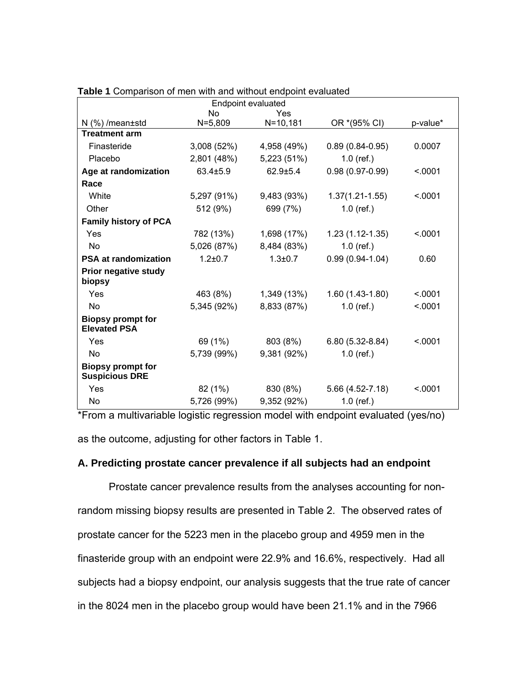| <b>Endpoint evaluated</b>                         |                |               |                     |          |
|---------------------------------------------------|----------------|---------------|---------------------|----------|
|                                                   | <b>No</b>      | Yes           |                     |          |
| $N$ (%) / mean $\pm$ std                          | $N = 5,809$    | $N = 10, 181$ | OR *(95% CI)        | p-value* |
| <b>Treatment arm</b>                              |                |               |                     |          |
| Finasteride                                       | 3,008(52%)     | 4,958 (49%)   | $0.89(0.84-0.95)$   | 0.0007   |
| Placebo                                           | 2,801 (48%)    | 5,223 (51%)   | $1.0$ (ref.)        |          |
| Age at randomization                              | $63.4 \pm 5.9$ | $62.9 + 5.4$  | $0.98(0.97-0.99)$   | < .0001  |
| Race                                              |                |               |                     |          |
| White                                             | 5,297 (91%)    | 9,483 (93%)   | $1.37(1.21 - 1.55)$ | < .0001  |
| Other                                             | 512 (9%)       | 699 (7%)      | $1.0$ (ref.)        |          |
| <b>Family history of PCA</b>                      |                |               |                     |          |
| Yes                                               | 782 (13%)      | 1,698 (17%)   | $1.23(1.12-1.35)$   | < 0.001  |
| <b>No</b>                                         | 5,026 (87%)    | 8,484 (83%)   | $1.0$ (ref.)        |          |
| <b>PSA at randomization</b>                       | $1.2 \pm 0.7$  | $1.3 \pm 0.7$ | $0.99(0.94-1.04)$   | 0.60     |
| <b>Prior negative study</b>                       |                |               |                     |          |
| biopsy                                            |                |               |                     |          |
| Yes                                               | 463 (8%)       | 1,349 (13%)   | $1.60(1.43-1.80)$   | < .0001  |
| <b>No</b>                                         | 5,345 (92%)    | 8,833 (87%)   | $1.0$ (ref.)        | < .0001  |
| <b>Biopsy prompt for</b><br><b>Elevated PSA</b>   |                |               |                     |          |
| Yes                                               | 69 (1%)        | 803 (8%)      | $6.80(5.32-8.84)$   | < 0.001  |
| No                                                | 5,739 (99%)    | 9,381 (92%)   | $1.0$ (ref.)        |          |
| <b>Biopsy prompt for</b><br><b>Suspicious DRE</b> |                |               |                     |          |
| Yes                                               | 82 (1%)        | 830 (8%)      | 5.66 (4.52-7.18)    | < .0001  |
| <b>No</b>                                         | 5,726 (99%)    | 9,352 (92%)   | $1.0$ (ref.)        |          |

| Table 1 Comparison of men with and without endpoint evaluated |
|---------------------------------------------------------------|
|---------------------------------------------------------------|

\*From a multivariable logistic regression model with endpoint evaluated (yes/no) as the outcome, adjusting for other factors in Table 1.

## **A. Predicting prostate cancer prevalence if all subjects had an endpoint**

Prostate cancer prevalence results from the analyses accounting for nonrandom missing biopsy results are presented in Table 2. The observed rates of prostate cancer for the 5223 men in the placebo group and 4959 men in the finasteride group with an endpoint were 22.9% and 16.6%, respectively. Had all subjects had a biopsy endpoint, our analysis suggests that the true rate of cancer in the 8024 men in the placebo group would have been 21.1% and in the 7966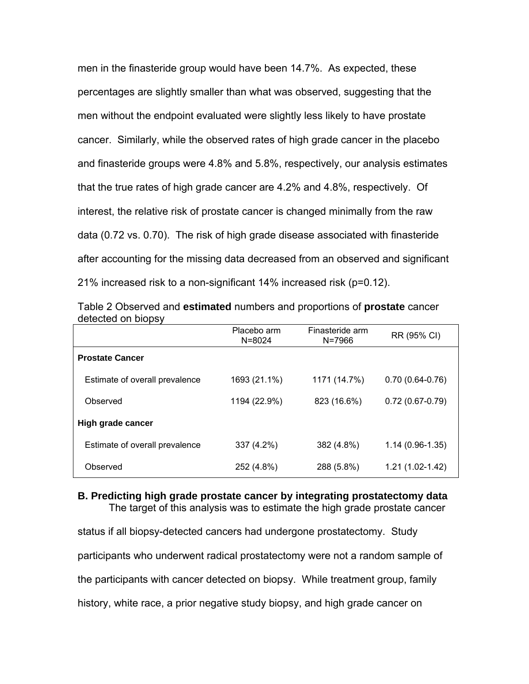men in the finasteride group would have been 14.7%. As expected, these percentages are slightly smaller than what was observed, suggesting that the men without the endpoint evaluated were slightly less likely to have prostate cancer. Similarly, while the observed rates of high grade cancer in the placebo and finasteride groups were 4.8% and 5.8%, respectively, our analysis estimates that the true rates of high grade cancer are 4.2% and 4.8%, respectively. Of interest, the relative risk of prostate cancer is changed minimally from the raw data (0.72 vs. 0.70). The risk of high grade disease associated with finasteride after accounting for the missing data decreased from an observed and significant 21% increased risk to a non-significant 14% increased risk (p=0.12).

|                                | Placebo arm<br>$N = 8024$ | Finasteride arm<br>$N = 7966$ | RR (95% CI)         |
|--------------------------------|---------------------------|-------------------------------|---------------------|
| <b>Prostate Cancer</b>         |                           |                               |                     |
| Estimate of overall prevalence | 1693 (21.1%)              | 1171 (14.7%)                  | $0.70(0.64 - 0.76)$ |
| Observed                       | 1194 (22.9%)              | 823 (16.6%)                   | $0.72(0.67 - 0.79)$ |
| High grade cancer              |                           |                               |                     |
| Estimate of overall prevalence | 337 (4.2%)                | 382 (4.8%)                    | $1.14(0.96-1.35)$   |
| Observed                       | 252 (4.8%)                | 288 (5.8%)                    | $1.21(1.02-1.42)$   |

Table 2 Observed and **estimated** numbers and proportions of **prostate** cancer detected on biopsy

## **B. Predicting high grade prostate cancer by integrating prostatectomy data**  The target of this analysis was to estimate the high grade prostate cancer

status if all biopsy-detected cancers had undergone prostatectomy. Study participants who underwent radical prostatectomy were not a random sample of the participants with cancer detected on biopsy. While treatment group, family history, white race, a prior negative study biopsy, and high grade cancer on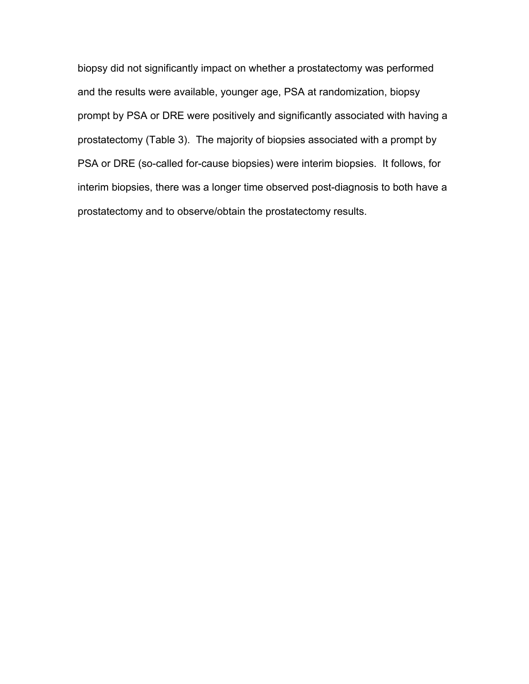biopsy did not significantly impact on whether a prostatectomy was performed and the results were available, younger age, PSA at randomization, biopsy prompt by PSA or DRE were positively and significantly associated with having a prostatectomy (Table 3). The majority of biopsies associated with a prompt by PSA or DRE (so-called for-cause biopsies) were interim biopsies. It follows, for interim biopsies, there was a longer time observed post-diagnosis to both have a prostatectomy and to observe/obtain the prostatectomy results.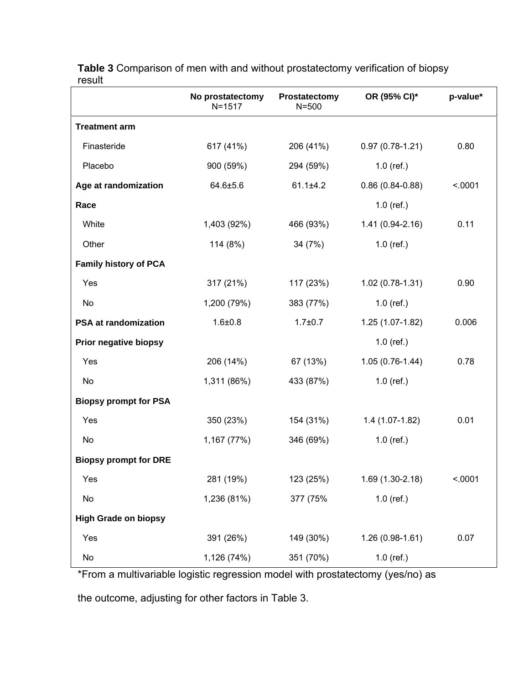|                              | No prostatectomy<br>$N = 1517$ | Prostatectomy<br>$N = 500$ | OR (95% CI)*      | p-value* |
|------------------------------|--------------------------------|----------------------------|-------------------|----------|
| <b>Treatment arm</b>         |                                |                            |                   |          |
| Finasteride                  | 617 (41%)                      | 206 (41%)                  | $0.97(0.78-1.21)$ | 0.80     |
| Placebo                      | 900 (59%)                      | 294 (59%)                  | $1.0$ (ref.)      |          |
| Age at randomization         | $64.6 \pm 5.6$                 | $61.1 \pm 4.2$             | $0.86(0.84-0.88)$ | < .0001  |
| Race                         |                                |                            | $1.0$ (ref.)      |          |
| White                        | 1,403 (92%)                    | 466 (93%)                  | $1.41(0.94-2.16)$ | 0.11     |
| Other                        | 114 (8%)                       | 34 (7%)                    | $1.0$ (ref.)      |          |
| <b>Family history of PCA</b> |                                |                            |                   |          |
| Yes                          | 317 (21%)                      | 117 (23%)                  | $1.02(0.78-1.31)$ | 0.90     |
| No.                          | 1,200 (79%)                    | 383 (77%)                  | $1.0$ (ref.)      |          |
| <b>PSA at randomization</b>  | $1.6 + 0.8$                    | $1.7 + 0.7$                | 1.25 (1.07-1.82)  | 0.006    |
| Prior negative biopsy        |                                |                            | $1.0$ (ref.)      |          |
| Yes                          | 206 (14%)                      | 67 (13%)                   | $1.05(0.76-1.44)$ | 0.78     |
| No                           | 1,311 (86%)                    | 433 (87%)                  | $1.0$ (ref.)      |          |
| <b>Biopsy prompt for PSA</b> |                                |                            |                   |          |
| Yes                          | 350 (23%)                      | 154 (31%)                  | $1.4(1.07-1.82)$  | 0.01     |
| No                           | 1,167 (77%)                    | 346 (69%)                  | $1.0$ (ref.)      |          |
| <b>Biopsy prompt for DRE</b> |                                |                            |                   |          |
| Yes                          | 281 (19%)                      | 123 (25%)                  | 1.69 (1.30-2.18)  | < .0001  |
| No                           | 1,236 (81%)                    | 377 (75%                   | $1.0$ (ref.)      |          |
| <b>High Grade on biopsy</b>  |                                |                            |                   |          |
| Yes                          | 391 (26%)                      | 149 (30%)                  | $1.26(0.98-1.61)$ | 0.07     |
| No                           | 1,126 (74%)                    | 351 (70%)                  | $1.0$ (ref.)      |          |

**Table 3** Comparison of men with and without prostatectomy verification of biopsy result

\*From a multivariable logistic regression model with prostatectomy (yes/no) as

the outcome, adjusting for other factors in Table 3.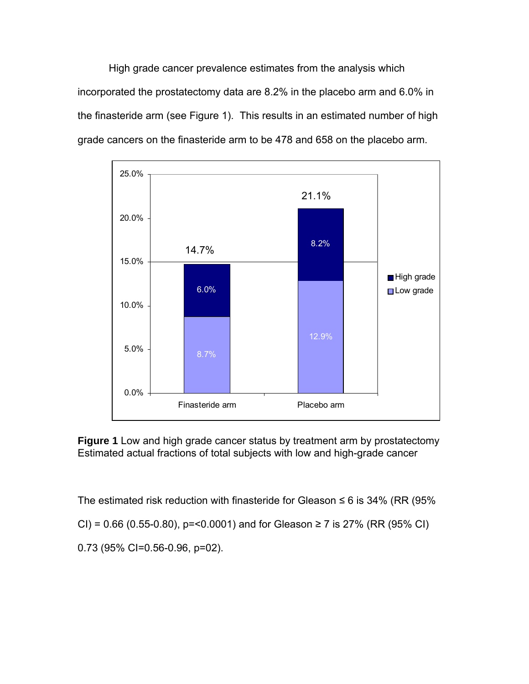High grade cancer prevalence estimates from the analysis which incorporated the prostatectomy data are 8.2% in the placebo arm and 6.0% in the finasteride arm (see Figure 1). This results in an estimated number of high grade cancers on the finasteride arm to be 478 and 658 on the placebo arm.



**Figure 1** Low and high grade cancer status by treatment arm by prostatectomy Estimated actual fractions of total subjects with low and high-grade cancer

The estimated risk reduction with finasteride for Gleason  $\leq 6$  is 34% (RR (95%)

CI) =  $0.66$  (0.55-0.80), p=<0.0001) and for Gleason  $\geq$  7 is 27% (RR (95% CI)

0.73 (95% CI=0.56-0.96, p=02).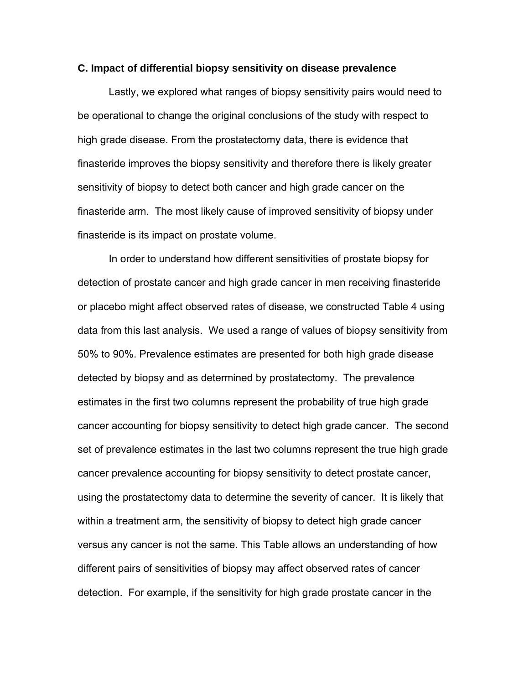#### **C. Impact of differential biopsy sensitivity on disease prevalence**

Lastly, we explored what ranges of biopsy sensitivity pairs would need to be operational to change the original conclusions of the study with respect to high grade disease. From the prostatectomy data, there is evidence that finasteride improves the biopsy sensitivity and therefore there is likely greater sensitivity of biopsy to detect both cancer and high grade cancer on the finasteride arm. The most likely cause of improved sensitivity of biopsy under finasteride is its impact on prostate volume.

In order to understand how different sensitivities of prostate biopsy for detection of prostate cancer and high grade cancer in men receiving finasteride or placebo might affect observed rates of disease, we constructed Table 4 using data from this last analysis. We used a range of values of biopsy sensitivity from 50% to 90%. Prevalence estimates are presented for both high grade disease detected by biopsy and as determined by prostatectomy. The prevalence estimates in the first two columns represent the probability of true high grade cancer accounting for biopsy sensitivity to detect high grade cancer. The second set of prevalence estimates in the last two columns represent the true high grade cancer prevalence accounting for biopsy sensitivity to detect prostate cancer, using the prostatectomy data to determine the severity of cancer. It is likely that within a treatment arm, the sensitivity of biopsy to detect high grade cancer versus any cancer is not the same. This Table allows an understanding of how different pairs of sensitivities of biopsy may affect observed rates of cancer detection. For example, if the sensitivity for high grade prostate cancer in the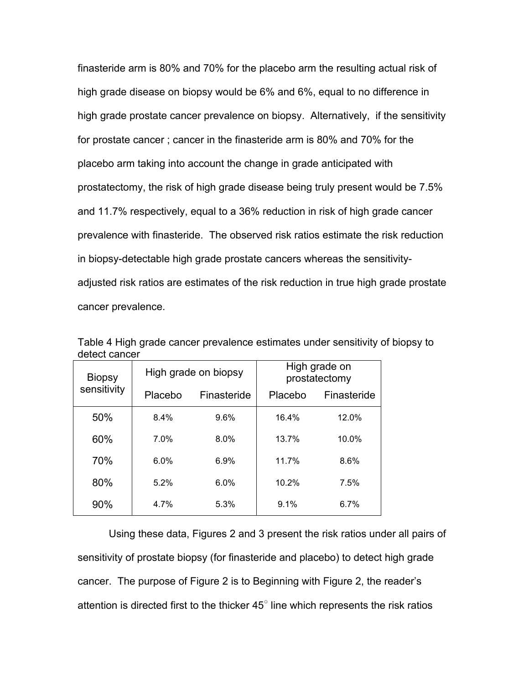finasteride arm is 80% and 70% for the placebo arm the resulting actual risk of high grade disease on biopsy would be 6% and 6%, equal to no difference in high grade prostate cancer prevalence on biopsy. Alternatively, if the sensitivity for prostate cancer ; cancer in the finasteride arm is 80% and 70% for the placebo arm taking into account the change in grade anticipated with prostatectomy, the risk of high grade disease being truly present would be 7.5% and 11.7% respectively, equal to a 36% reduction in risk of high grade cancer prevalence with finasteride. The observed risk ratios estimate the risk reduction in biopsy-detectable high grade prostate cancers whereas the sensitivityadjusted risk ratios are estimates of the risk reduction in true high grade prostate cancer prevalence.

| <b>Biopsy</b><br>sensitivity | High grade on biopsy |             | High grade on<br>prostatectomy |             |
|------------------------------|----------------------|-------------|--------------------------------|-------------|
|                              | Placebo              | Finasteride | Placebo                        | Finasteride |
| 50%                          | 8.4%                 | 9.6%        | 16.4%                          | 12.0%       |
| 60%                          | 7.0%                 | 8.0%        | 13.7%                          | 10.0%       |
| 70%                          | 6.0%                 | 6.9%        | 11.7%                          | 8.6%        |
| 80%                          | 5.2%                 | 6.0%        | 10.2%                          | 7.5%        |
| 90%                          | 4.7%                 | 5.3%        | 9.1%                           | 6.7%        |

Table 4 High grade cancer prevalence estimates under sensitivity of biopsy to detect cancer

Using these data, Figures 2 and 3 present the risk ratios under all pairs of sensitivity of prostate biopsy (for finasteride and placebo) to detect high grade cancer. The purpose of Figure 2 is to Beginning with Figure 2, the reader's attention is directed first to the thicker  $45^{\circ}$  line which represents the risk ratios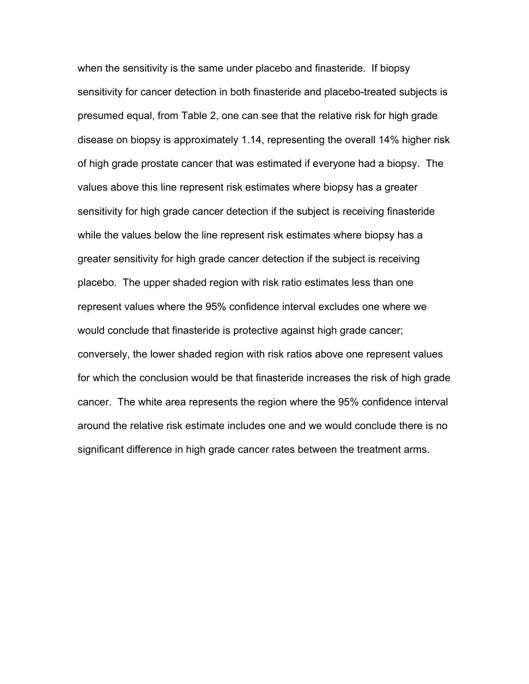when the sensitivity is the same under placebo and finasteride. If biopsy sensitivity for cancer detection in both finasteride and placebo-treated subjects is presumed equal, from Table 2, one can see that the relative risk for high grade disease on biopsy is approximately 1.14, representing the overall 14% higher risk of high grade prostate cancer that was estimated if everyone had a biopsy. The values above this line represent risk estimates where biopsy has a greater sensitivity for high grade cancer detection if the subject is receiving finasteride while the values below the line represent risk estimates where biopsy has a greater sensitivity for high grade cancer detection if the subject is receiving placebo. The upper shaded region with risk ratio estimates less than one represent values where the 95% confidence interval excludes one where we would conclude that finasteride is protective against high grade cancer; conversely, the lower shaded region with risk ratios above one represent values for which the conclusion would be that finasteride increases the risk of high grade cancer. The white area represents the region where the 95% confidence interval around the relative risk estimate includes one and we would conclude there is no significant difference in high grade cancer rates between the treatment arms.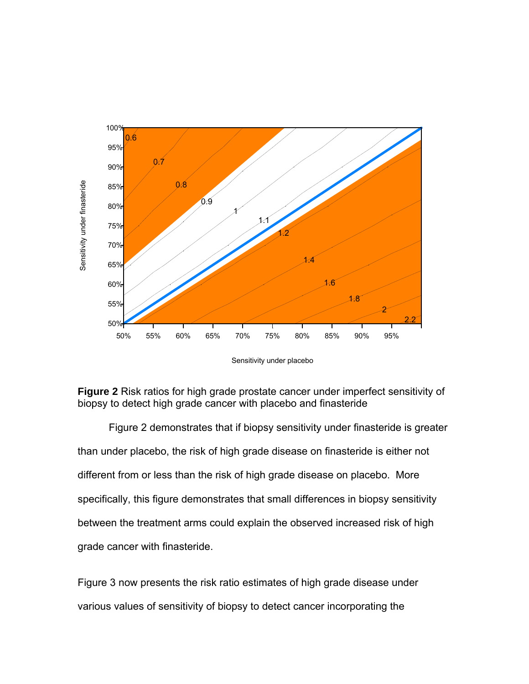

Sensitivity under placebo



Figure 2 demonstrates that if biopsy sensitivity under finasteride is greater than under placebo, the risk of high grade disease on finasteride is either not different from or less than the risk of high grade disease on placebo. More specifically, this figure demonstrates that small differences in biopsy sensitivity between the treatment arms could explain the observed increased risk of high grade cancer with finasteride.

Figure 3 now presents the risk ratio estimates of high grade disease under various values of sensitivity of biopsy to detect cancer incorporating the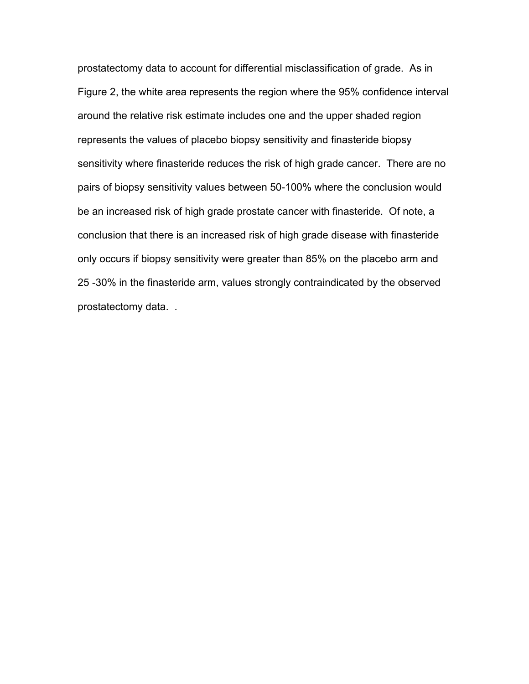prostatectomy data to account for differential misclassification of grade. As in Figure 2, the white area represents the region where the 95% confidence interval around the relative risk estimate includes one and the upper shaded region represents the values of placebo biopsy sensitivity and finasteride biopsy sensitivity where finasteride reduces the risk of high grade cancer. There are no pairs of biopsy sensitivity values between 50-100% where the conclusion would be an increased risk of high grade prostate cancer with finasteride. Of note, a conclusion that there is an increased risk of high grade disease with finasteride only occurs if biopsy sensitivity were greater than 85% on the placebo arm and 25 -30% in the finasteride arm, values strongly contraindicated by the observed prostatectomy data. .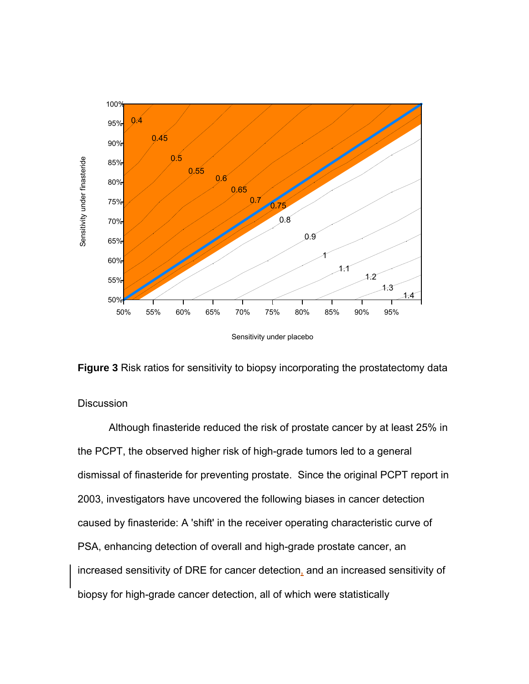



## **Discussion**

Although finasteride reduced the risk of prostate cancer by at least 25% in the PCPT, the observed higher risk of high-grade tumors led to a general dismissal of finasteride for preventing prostate. Since the original PCPT report in 2003, investigators have uncovered the following biases in cancer detection caused by finasteride: A 'shift' in the receiver operating characteristic curve of PSA, enhancing detection of overall and high-grade prostate cancer, an increased sensitivity of DRE for cancer detection, and an increased sensitivity of biopsy for high-grade cancer detection, all of which were statistically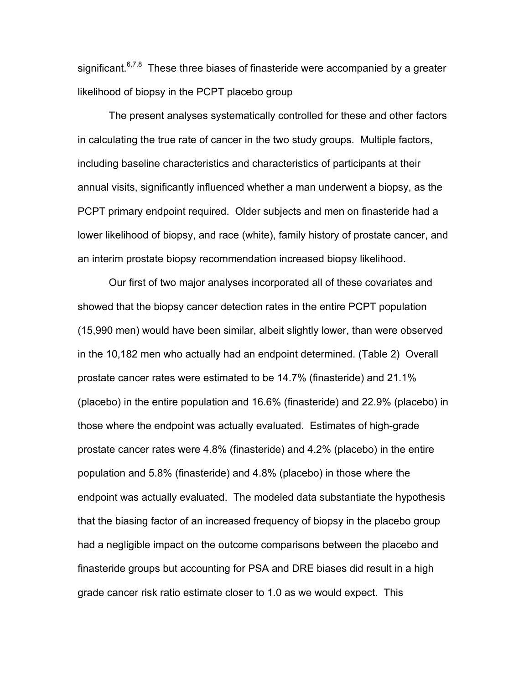significant.<sup>6,7,8</sup> These three biases of finasteride were accompanied by a greater likelihood of biopsy in the PCPT placebo group

 The present analyses systematically controlled for these and other factors in calculating the true rate of cancer in the two study groups. Multiple factors, including baseline characteristics and characteristics of participants at their annual visits, significantly influenced whether a man underwent a biopsy, as the PCPT primary endpoint required. Older subjects and men on finasteride had a lower likelihood of biopsy, and race (white), family history of prostate cancer, and an interim prostate biopsy recommendation increased biopsy likelihood.

Our first of two major analyses incorporated all of these covariates and showed that the biopsy cancer detection rates in the entire PCPT population (15,990 men) would have been similar, albeit slightly lower, than were observed in the 10,182 men who actually had an endpoint determined. (Table 2) Overall prostate cancer rates were estimated to be 14.7% (finasteride) and 21.1% (placebo) in the entire population and 16.6% (finasteride) and 22.9% (placebo) in those where the endpoint was actually evaluated. Estimates of high-grade prostate cancer rates were 4.8% (finasteride) and 4.2% (placebo) in the entire population and 5.8% (finasteride) and 4.8% (placebo) in those where the endpoint was actually evaluated. The modeled data substantiate the hypothesis that the biasing factor of an increased frequency of biopsy in the placebo group had a negligible impact on the outcome comparisons between the placebo and finasteride groups but accounting for PSA and DRE biases did result in a high grade cancer risk ratio estimate closer to 1.0 as we would expect. This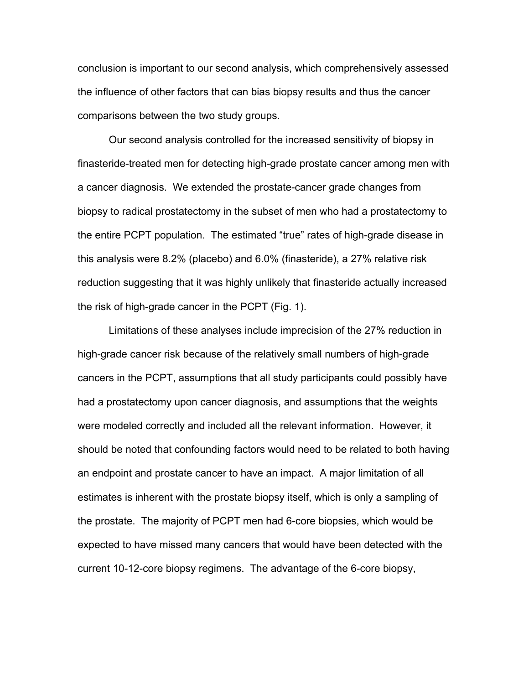conclusion is important to our second analysis, which comprehensively assessed the influence of other factors that can bias biopsy results and thus the cancer comparisons between the two study groups.

Our second analysis controlled for the increased sensitivity of biopsy in finasteride-treated men for detecting high-grade prostate cancer among men with a cancer diagnosis. We extended the prostate-cancer grade changes from biopsy to radical prostatectomy in the subset of men who had a prostatectomy to the entire PCPT population. The estimated "true" rates of high-grade disease in this analysis were 8.2% (placebo) and 6.0% (finasteride), a 27% relative risk reduction suggesting that it was highly unlikely that finasteride actually increased the risk of high-grade cancer in the PCPT (Fig. 1).

Limitations of these analyses include imprecision of the 27% reduction in high-grade cancer risk because of the relatively small numbers of high-grade cancers in the PCPT, assumptions that all study participants could possibly have had a prostatectomy upon cancer diagnosis, and assumptions that the weights were modeled correctly and included all the relevant information. However, it should be noted that confounding factors would need to be related to both having an endpoint and prostate cancer to have an impact. A major limitation of all estimates is inherent with the prostate biopsy itself, which is only a sampling of the prostate. The majority of PCPT men had 6-core biopsies, which would be expected to have missed many cancers that would have been detected with the current 10-12-core biopsy regimens. The advantage of the 6-core biopsy,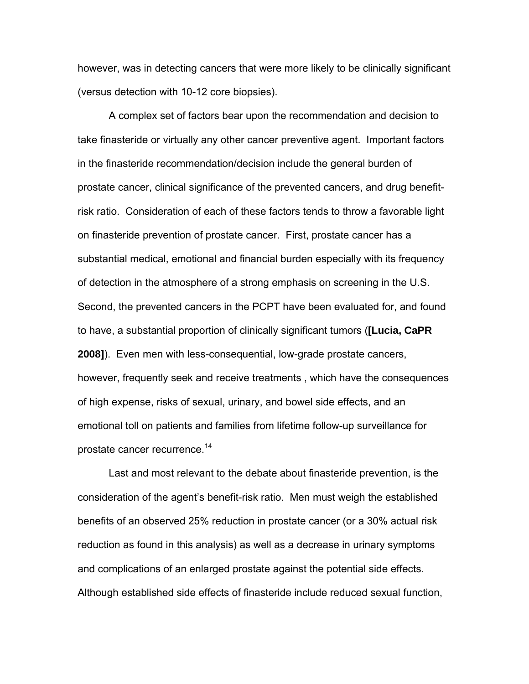however, was in detecting cancers that were more likely to be clinically significant (versus detection with 10-12 core biopsies).

A complex set of factors bear upon the recommendation and decision to take finasteride or virtually any other cancer preventive agent. Important factors in the finasteride recommendation/decision include the general burden of prostate cancer, clinical significance of the prevented cancers, and drug benefitrisk ratio. Consideration of each of these factors tends to throw a favorable light on finasteride prevention of prostate cancer. First, prostate cancer has a substantial medical, emotional and financial burden especially with its frequency of detection in the atmosphere of a strong emphasis on screening in the U.S. Second, the prevented cancers in the PCPT have been evaluated for, and found to have, a substantial proportion of clinically significant tumors (**[Lucia, CaPR 2008]**). Even men with less-consequential, low-grade prostate cancers, however, frequently seek and receive treatments , which have the consequences of high expense, risks of sexual, urinary, and bowel side effects, and an emotional toll on patients and families from lifetime follow-up surveillance for prostate cancer recurrence.<sup>14</sup>

Last and most relevant to the debate about finasteride prevention, is the consideration of the agent's benefit-risk ratio. Men must weigh the established benefits of an observed 25% reduction in prostate cancer (or a 30% actual risk reduction as found in this analysis) as well as a decrease in urinary symptoms and complications of an enlarged prostate against the potential side effects. Although established side effects of finasteride include reduced sexual function,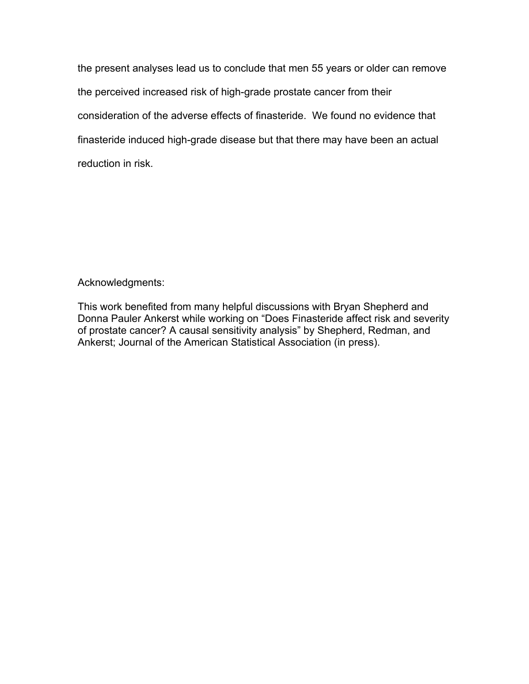the present analyses lead us to conclude that men 55 years or older can remove the perceived increased risk of high-grade prostate cancer from their consideration of the adverse effects of finasteride. We found no evidence that finasteride induced high-grade disease but that there may have been an actual reduction in risk.

## Acknowledgments:

This work benefited from many helpful discussions with Bryan Shepherd and Donna Pauler Ankerst while working on "Does Finasteride affect risk and severity of prostate cancer? A causal sensitivity analysis" by Shepherd, Redman, and Ankerst; Journal of the American Statistical Association (in press).